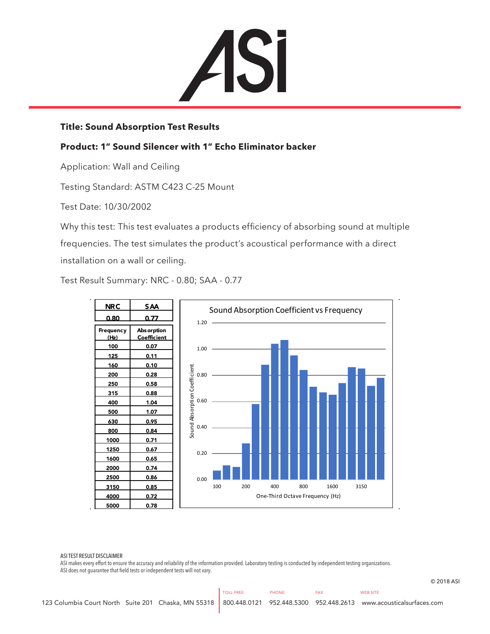

## **Title: Sound Absorption Test Results**

## **Product: 1" Sound Silencer with 1" Echo Eliminator backer**

Application: Wall and Ceiling

Testing Standard: ASTM C423 C-25 Mount

Test Date: 10/30/2002

Why this test: This test evaluates a products efficiency of absorbing sound at multiple frequencies. The test simulates the product's acoustical performance with a direct installation on a wall or ceiling.

Test Result Summary: NRC - 0.80; SAA - 0.77



ASI TEST RESULT DISCLAIMER

ASI makes every effort to ensure the accuracy and reliability of the information provided. Laboratory testing is conducted by independent testing organizations. ASI does not guarantee that field tests or independent tests will not vary.

© 2018 ASI